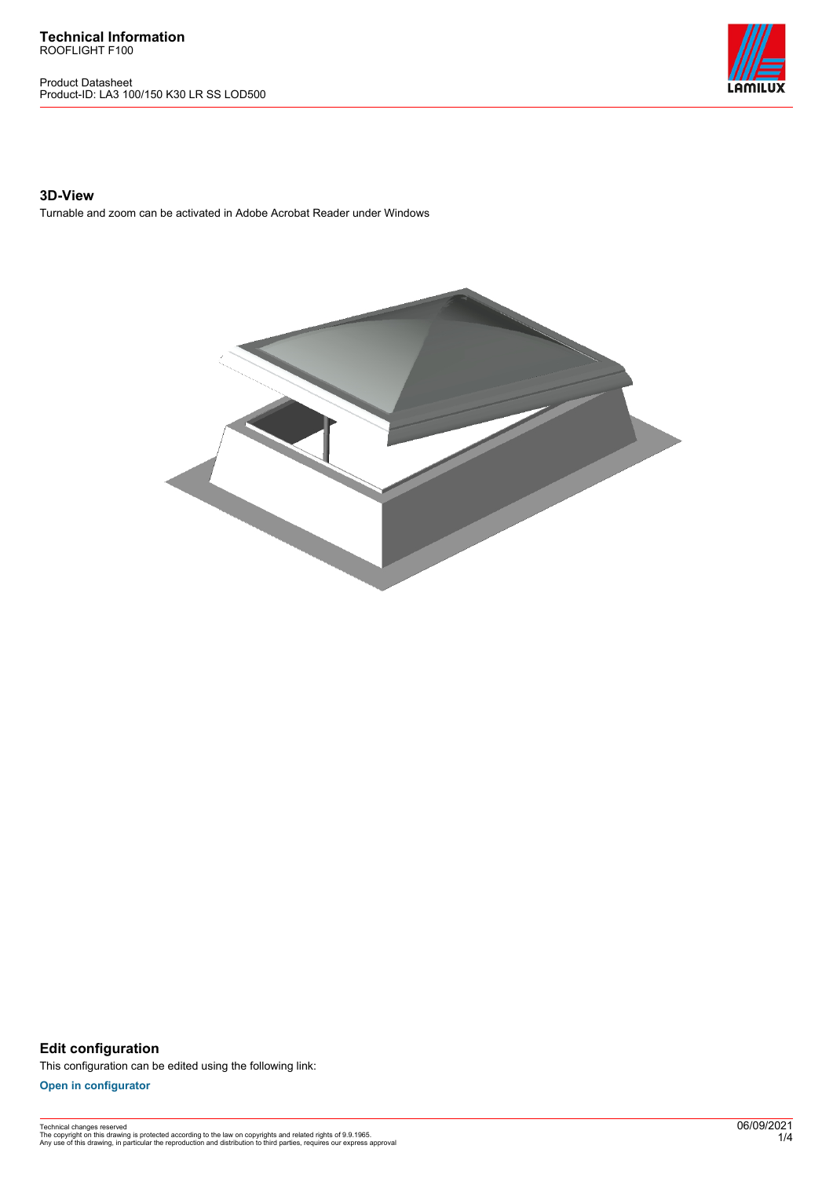**Technical Information** ROOFLIGHT F100

Product Datasheet Product-ID: LA3 100/150 K30 LR SS LOD500



## **3D-View**

Turnable and zoom can be activated in Adobe Acrobat Reader under Windows



**Edit configuration** This configuration can be edited using the following link:

**[Open in configurator](https://bimconfig.lamilux.com//?quickcode=TINFDC)**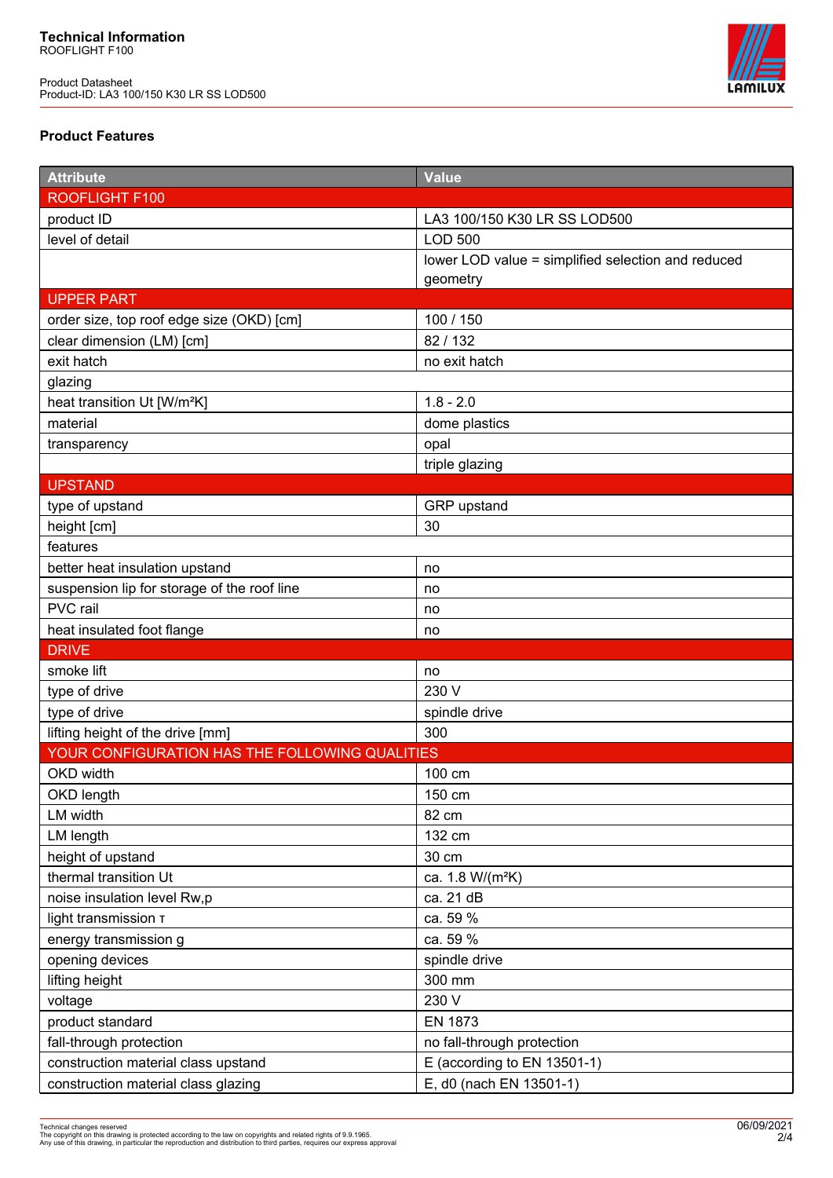

## **Product Features**

| <b>Attribute</b>                               | <b>Value</b>                                       |
|------------------------------------------------|----------------------------------------------------|
| <b>ROOFLIGHT F100</b>                          |                                                    |
| product ID                                     | LA3 100/150 K30 LR SS LOD500                       |
| level of detail                                | <b>LOD 500</b>                                     |
|                                                | lower LOD value = simplified selection and reduced |
|                                                | geometry                                           |
| <b>UPPER PART</b>                              |                                                    |
| order size, top roof edge size (OKD) [cm]      | 100 / 150                                          |
| clear dimension (LM) [cm]                      | 82 / 132                                           |
| exit hatch                                     | no exit hatch                                      |
| glazing                                        |                                                    |
| heat transition Ut [W/m <sup>2</sup> K]        | $1.8 - 2.0$                                        |
| material                                       | dome plastics                                      |
| transparency                                   | opal                                               |
|                                                | triple glazing                                     |
| <b>UPSTAND</b>                                 |                                                    |
| type of upstand                                | GRP upstand                                        |
| height [cm]                                    | 30                                                 |
| features                                       |                                                    |
| better heat insulation upstand                 | no                                                 |
| suspension lip for storage of the roof line    | no                                                 |
| PVC rail                                       | no                                                 |
| heat insulated foot flange                     | no                                                 |
| <b>DRIVE</b>                                   |                                                    |
| smoke lift                                     | no                                                 |
| type of drive                                  | 230 V                                              |
| type of drive                                  | spindle drive                                      |
| lifting height of the drive [mm]               | 300                                                |
| YOUR CONFIGURATION HAS THE FOLLOWING QUALITIES |                                                    |
| OKD width                                      | 100 cm                                             |
| <b>OKD length</b>                              | 150 cm                                             |
| LM width                                       | 82 cm                                              |
| LM length                                      | 132 cm                                             |
| height of upstand                              | 30 cm                                              |
| thermal transition Ut                          | ca. 1.8 W/(m <sup>2</sup> K)                       |
| noise insulation level Rw,p                    | ca. 21 dB                                          |
| light transmission T                           | ca. 59 %                                           |
| energy transmission g                          | ca. 59 %                                           |
| opening devices                                | spindle drive                                      |
| lifting height                                 | 300 mm                                             |
| voltage                                        | 230 V                                              |
| product standard                               | <b>EN 1873</b>                                     |
| fall-through protection                        | no fall-through protection                         |
| construction material class upstand            | E (according to EN 13501-1)                        |
| construction material class glazing            | E, d0 (nach EN 13501-1)                            |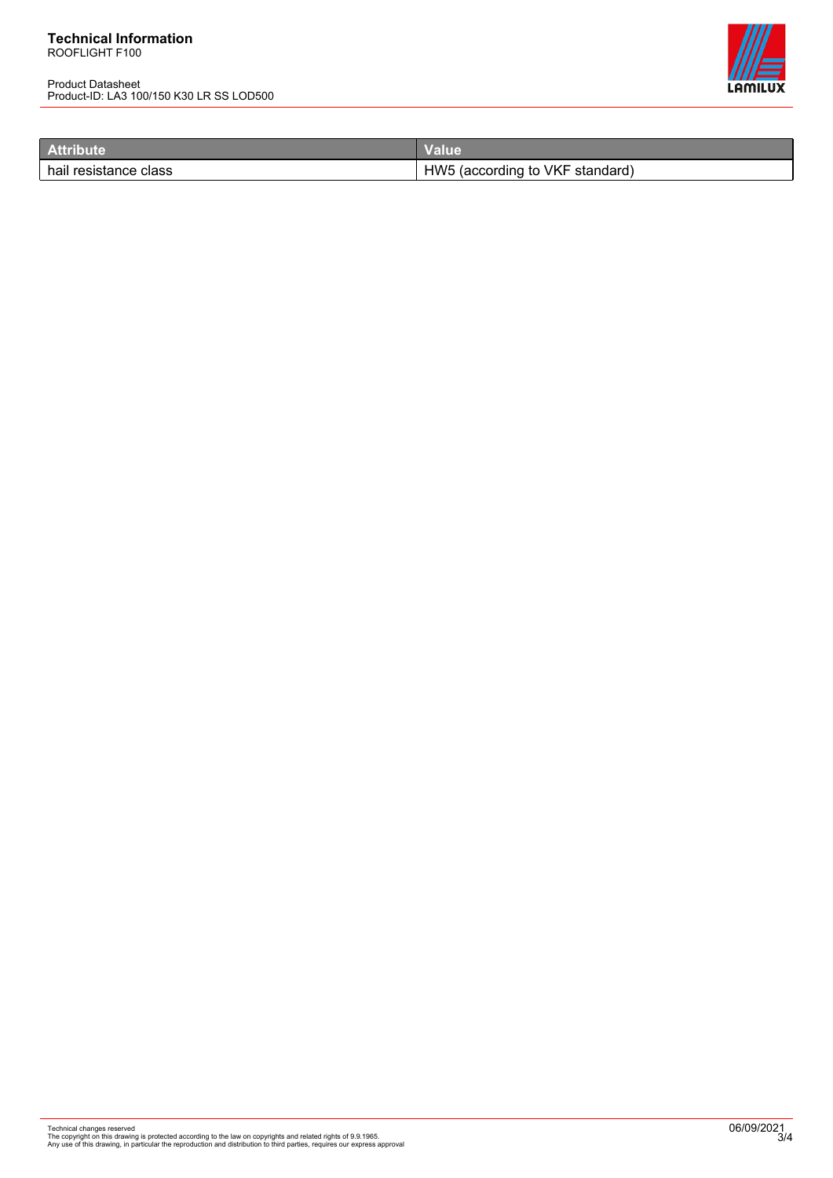Product Datasheet Product-ID: LA3 100/150 K30 LR SS LOD500



| <b>Attribute</b>      | /alue                              |
|-----------------------|------------------------------------|
| hail resistance class | HW5<br>(according to VKF standard) |